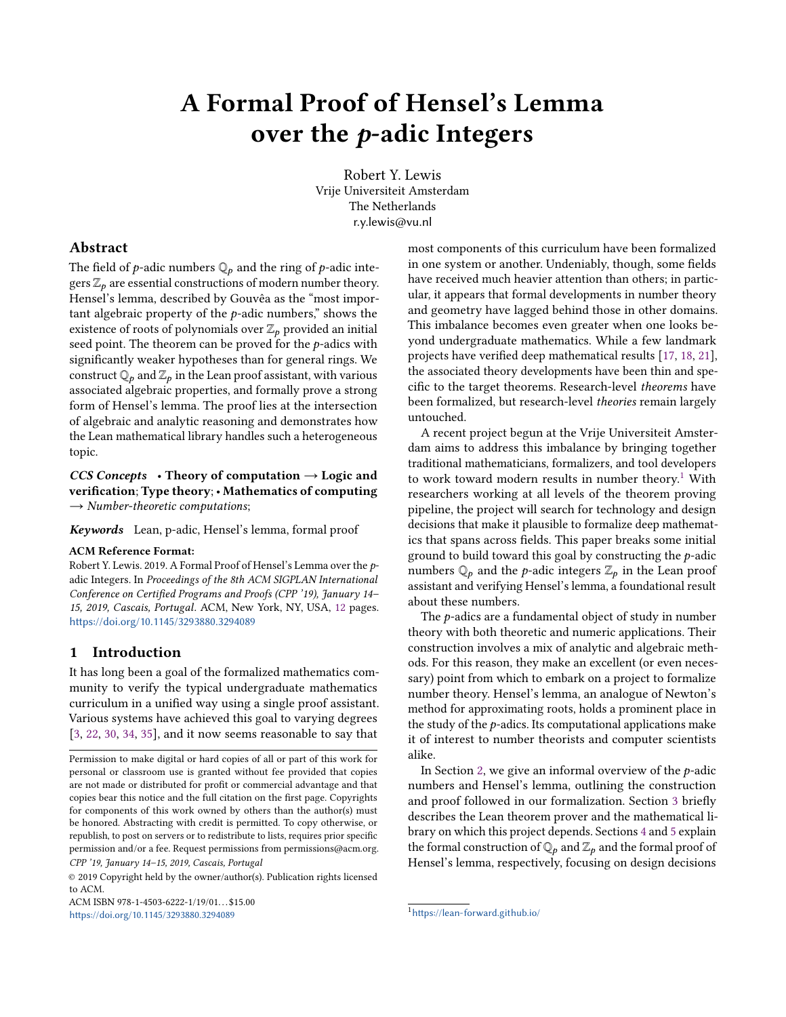# A Formal Proof of Hensel's Lemma over the p-adic Integers

Robert Y. Lewis Vrije Universiteit Amsterdam The Netherlands r.y.lewis@vu.nl

## Abstract

The field of *p*-adic numbers  $\mathbb{Q}_p$  and the ring of *p*-adic integers  $\mathbb{Z}_p$  are essential constructions of modern number theory. Hensel's lemma, described by Gouvêa as the "most important algebraic property of the  $p$ -adic numbers," shows the existence of roots of polynomials over  $\mathbb{Z}_p$  provided an initial seed point. The theorem can be proved for the  $p$ -adics with significantly weaker hypotheses than for general rings. We construct  $\mathbb{Q}_p$  and  $\mathbb{Z}_p$  in the Lean proof assistant, with various associated algebraic properties, and formally prove a strong form of Hensel's lemma. The proof lies at the intersection of algebraic and analytic reasoning and demonstrates how the Lean mathematical library handles such a heterogeneous topic.

 $CCS$  Concepts • Theory of computation  $\rightarrow$  Logic and verification; Type theory; • Mathematics of computing  $\rightarrow$  Number-theoretic computations;

Keywords Lean, p-adic, Hensel's lemma, formal proof

#### ACM Reference Format:

Robert Y. Lewis. 2019. A Formal Proof of Hensel's Lemma over the padic Integers. In Proceedings of the 8th ACM SIGPLAN International Conference on Certified Programs and Proofs (CPP '19), January 14– 15, 2019, Cascais, Portugal. ACM, New York, NY, USA, [12](#page-11-0) pages. <https://doi.org/10.1145/3293880.3294089>

## 1 Introduction

It has long been a goal of the formalized mathematics community to verify the typical undergraduate mathematics curriculum in a unified way using a single proof assistant. Various systems have achieved this goal to varying degrees [\[3,](#page-10-0) [22,](#page-10-1) [30,](#page-10-2) [34,](#page-10-3) [35\]](#page-10-4), and it now seems reasonable to say that

© 2019 Copyright held by the owner/author(s). Publication rights licensed to ACM.

ACM ISBN 978-1-4503-6222-1/19/01... \$15.00 <https://doi.org/10.1145/3293880.3294089>

most components of this curriculum have been formalized in one system or another. Undeniably, though, some fields have received much heavier attention than others; in particular, it appears that formal developments in number theory and geometry have lagged behind those in other domains. This imbalance becomes even greater when one looks beyond undergraduate mathematics. While a few landmark projects have verified deep mathematical results [\[17,](#page-10-5) [18,](#page-10-6) [21\]](#page-10-7), the associated theory developments have been thin and specific to the target theorems. Research-level theorems have been formalized, but research-level theories remain largely untouched.

A recent project begun at the Vrije Universiteit Amsterdam aims to address this imbalance by bringing together traditional mathematicians, formalizers, and tool developers to work toward modern results in number theory.<sup>[1](#page-0-0)</sup> With researchers working at all levels of the theorem proving pipeline, the project will search for technology and design decisions that make it plausible to formalize deep mathematics that spans across fields. This paper breaks some initial ground to build toward this goal by constructing the p-adic numbers  $\mathbb{Q}_p$  and the *p*-adic integers  $\mathbb{Z}_p$  in the Lean proof assistant and verifying Hensel's lemma, a foundational result about these numbers.

The *p*-adics are a fundamental object of study in number theory with both theoretic and numeric applications. Their construction involves a mix of analytic and algebraic methods. For this reason, they make an excellent (or even necessary) point from which to embark on a project to formalize number theory. Hensel's lemma, an analogue of Newton's method for approximating roots, holds a prominent place in the study of the  $p$ -adics. Its computational applications make it of interest to number theorists and computer scientists alike.

In Section [2,](#page-1-0) we give an informal overview of the  $p$ -adic numbers and Hensel's lemma, outlining the construction and proof followed in our formalization. Section [3](#page-2-0) briefly describes the Lean theorem prover and the mathematical library on which this project depends. Sections [4](#page-4-0) and [5](#page-6-0) explain the formal construction of  $\mathbb{Q}_p$  and  $\mathbb{Z}_p$  and the formal proof of Hensel's lemma, respectively, focusing on design decisions

Permission to make digital or hard copies of all or part of this work for personal or classroom use is granted without fee provided that copies are not made or distributed for profit or commercial advantage and that copies bear this notice and the full citation on the first page. Copyrights for components of this work owned by others than the author(s) must be honored. Abstracting with credit is permitted. To copy otherwise, or republish, to post on servers or to redistribute to lists, requires prior specific permission and/or a fee. Request permissions from permissions@acm.org. CPP '19, January 14–15, 2019, Cascais, Portugal

<span id="page-0-0"></span><sup>1</sup><https://lean-forward.github.io/>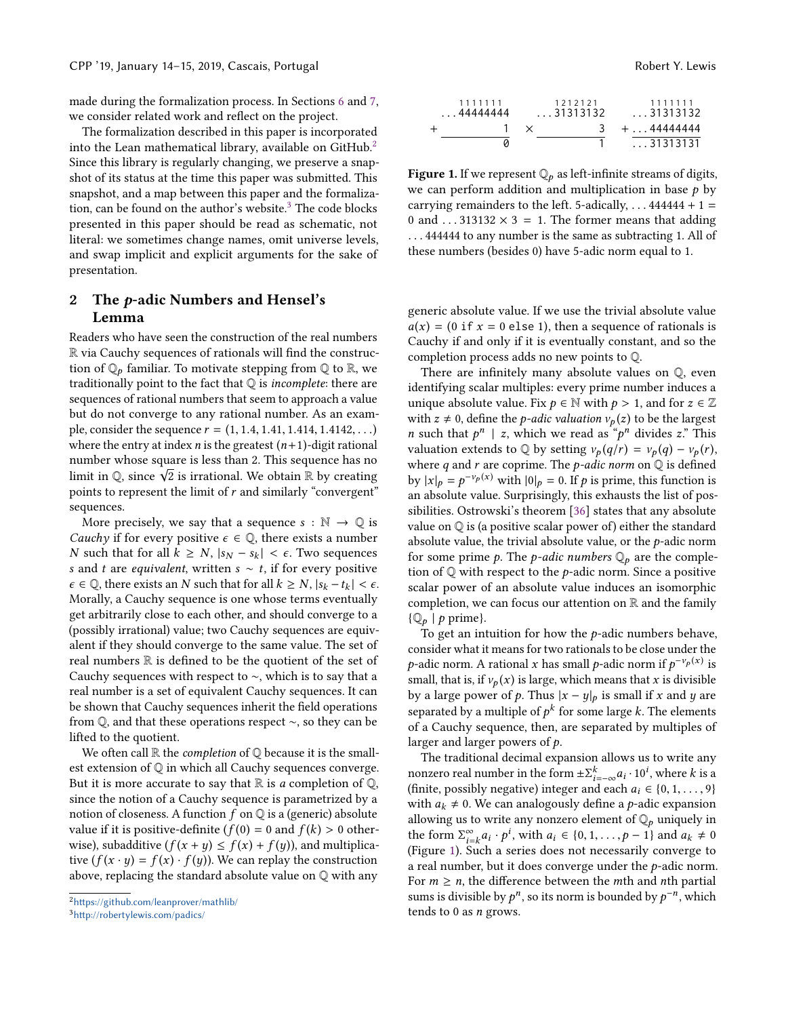made during the formalization process. In Sections [6](#page-9-0) and [7,](#page-9-1) we consider related work and reflect on the project.

The formalization described in this paper is incorporated into the Lean mathematical library, available on GitHub.[2](#page-1-1) Since this library is regularly changing, we preserve a snapshot of its status at the time this paper was submitted. This snapshot, and a map between this paper and the formaliza-tion, can be found on the author's website.<sup>[3](#page-1-2)</sup> The code blocks presented in this paper should be read as schematic, not literal: we sometimes change names, omit universe levels, and swap implicit and explicit arguments for the sake of presentation.

# <span id="page-1-0"></span>2 The p-adic Numbers and Hensel's Lemma

Readers who have seen the construction of the real numbers R via Cauchy sequences of rationals will find the construction of  $\mathbb{Q}_p$  familiar. To motivate stepping from  $\mathbb{Q}$  to  $\mathbb{R}$ , we traditionally point to the fact that  $Q$  is *incomplete*: there are sequences of rational numbers that seem to approach a value but do not converge to any rational number. As an example, consider the sequence  $r = (1, 1.4, 1.41, 1.414, 1.4142, ...)$ where the entry at index  $n$  is the greatest  $(n+1)$ -digit rational number whose square is less than 2. This sequence has no number whose square is less than 2. This sequence has no<br>limit in Q, since  $\sqrt{2}$  is irrational. We obtain R by creating points to represent the limit of  $r$  and similarly "convergent" sequences.

More precisely, we say that a sequence  $s : \mathbb{N} \to \mathbb{Q}$  is *Cauchy* if for every positive  $\epsilon \in \mathbb{Q}$ , there exists a number *N* such that for all  $k$  ≥ *N*,  $|s_N - s_k|$  <  $\epsilon$ . Two sequences s and t are *equivalent*, written  $s \sim t$ , if for every positive  $\epsilon \in \mathbb{Q}$ , there exists an N such that for all  $k \geq N$ ,  $|s_k - t_k| < \epsilon$ . Morally, a Cauchy sequence is one whose terms eventually get arbitrarily close to each other, and should converge to a (possibly irrational) value; two Cauchy sequences are equivalent if they should converge to the same value. The set of real numbers  $\mathbb R$  is defined to be the quotient of the set of Cauchy sequences with respect to ∼, which is to say that a real number is a set of equivalent Cauchy sequences. It can be shown that Cauchy sequences inherit the field operations from Q, and that these operations respect ∼, so they can be lifted to the quotient.

We often call  $\mathbb R$  the *completion* of  $\mathbb Q$  because it is the smallest extension of Q in which all Cauchy sequences converge. But it is more accurate to say that  $\mathbb R$  is a completion of  $\mathbb Q$ , since the notion of a Cauchy sequence is parametrized by a notion of closeness. A function  $f$  on  $\mathbb Q$  is a (generic) absolute value if it is positive-definite ( $f(0) = 0$  and  $f(k) > 0$  otherwise), subadditive  $(f(x + y) \leq f(x) + f(y))$ , and multiplicative  $(f(x \cdot y) = f(x) \cdot f(y))$ . We can replay the construction above, replacing the standard absolute value on Q with any

<span id="page-1-1"></span>

<span id="page-1-2"></span><sup>3</sup><http://robertylewis.com/padics/>

<span id="page-1-3"></span>

| 1111111<br>$\ldots$ 4444444 | 1212121<br>$\ldots$ 31313132 | 1111111<br>. 31313132 |
|-----------------------------|------------------------------|-----------------------|
|                             |                              | + 44444444            |
|                             |                              | $\dots$ 31313131      |
|                             |                              |                       |

**Figure 1.** If we represent  $\mathbb{Q}_p$  as left-infinite streams of digits, we can perform addition and multiplication in base  $p$  by carrying remainders to the left. 5-adically,  $\dots$  444444 + 1 = 0 and  $\dots$  313132  $\times$  3 = 1. The former means that adding . . . <sup>444444</sup> to any number is the same as subtracting 1. All of these numbers (besides 0) have 5-adic norm equal to 1.

generic absolute value. If we use the trivial absolute value  $a(x) = (0$  if  $x = 0$  else 1), then a sequence of rationals is Cauchy if and only if it is eventually constant, and so the completion process adds no new points to Q.

There are infinitely many absolute values on Q, even identifying scalar multiples: every prime number induces a unique absolute value. Fix  $p \in \mathbb{N}$  with  $p > 1$ , and for  $z \in \mathbb{Z}$ with  $z \neq 0$ , define the *p*-adic valuation  $v_p(z)$  to be the largest *n* such that  $p^n \mid z$ , which we read as " $p^n$  divides z." This valuation extends to  $\mathbb{Q}$  by setting  $y(a/r) = y(a) - y(r)$ valuation extends to  $\mathbb Q$  by setting  $v_p(q/r) = v_p(q) - v_p(r)$ , where  $q$  and  $r$  are coprime. The  $p$ -adic norm on  $\mathbb Q$  is defined by  $|x|_p = p^{-\nu_p(x)}$  with  $|0|_p = 0$ . If p is prime, this function is<br>an absolute value. Surprisingly, this exhausts the list of posan absolute value. Surprisingly, this exhausts the list of possibilities. Ostrowski's theorem [\[36\]](#page-10-8) states that any absolute value on Q is (a positive scalar power of) either the standard absolute value, the trivial absolute value, or the  $p$ -adic norm for some prime p. The p-adic numbers  $\mathbb{Q}_p$  are the completion of  $\mathbb Q$  with respect to the *p*-adic norm. Since a positive scalar power of an absolute value induces an isomorphic completion, we can focus our attention on  $\mathbb R$  and the family  $\{Q_p | p \text{ prime}\}.$ 

To get an intuition for how the  $p$ -adic numbers behave, consider what it means for two rationals to be close under the p-adic norm. A rational x has small p-adic norm if  $p^{-\nu_p(x)}$  is<br>small that is if  $\nu_p(x)$  is large which means that x is divisible small, that is, if  $v_p(x)$  is large, which means that x is divisible by a large power of p. Thus  $|x - y|_p$  is small if x and y are separated by a multiple of  $p^k$  for some large k. The elements<br>of a Cauchy sequence, then, are separated by multiples of of a Cauchy sequence, then, are separated by multiples of larger and larger powers of p.

The traditional decimal expansion allows us to write any nonzero real number in the form  $\pm \Sigma_{i=-\infty}^{k} a_i \cdot 10^i$ , where k is a<br>(finite possibly negative) integer and each  $a_i \in \{0, 1, \ldots, 9\}$ finite, possibly negative) integer and each  $a_i \in \{0, 1, ..., 9\}$ <br>(finite, possibly negative) integer and each  $a_i \in \{0, 1, ..., 9\}$ with  $a_k \neq 0$ . We can analogously define a *p*-adic expansion allowing us to write any nonzero element of  $\mathbb{Q}_p$  uniquely in the form  $\sum_{i=k}^{\infty} a_i \cdot p^i$ , with  $a_i \in \{0, 1, \ldots, p-1\}$  and  $a_k \neq 0$ <br>(Figure 1) Such a series does not necessarily converge to Figure [1\)](#page-1-3). Such a series does not necessarily converge to (Figure 1). Such a series does not necessarily converge to a real number, but it does converge under the p-adic norm. For  $m \ge n$ , the difference between the *m*th and *n*th partial sums is divisible by  $p^n$ , so its norm is bounded by  $p^{-n}$ , which<br>tends to 0 as n grows tends to 0 as  $n$  grows.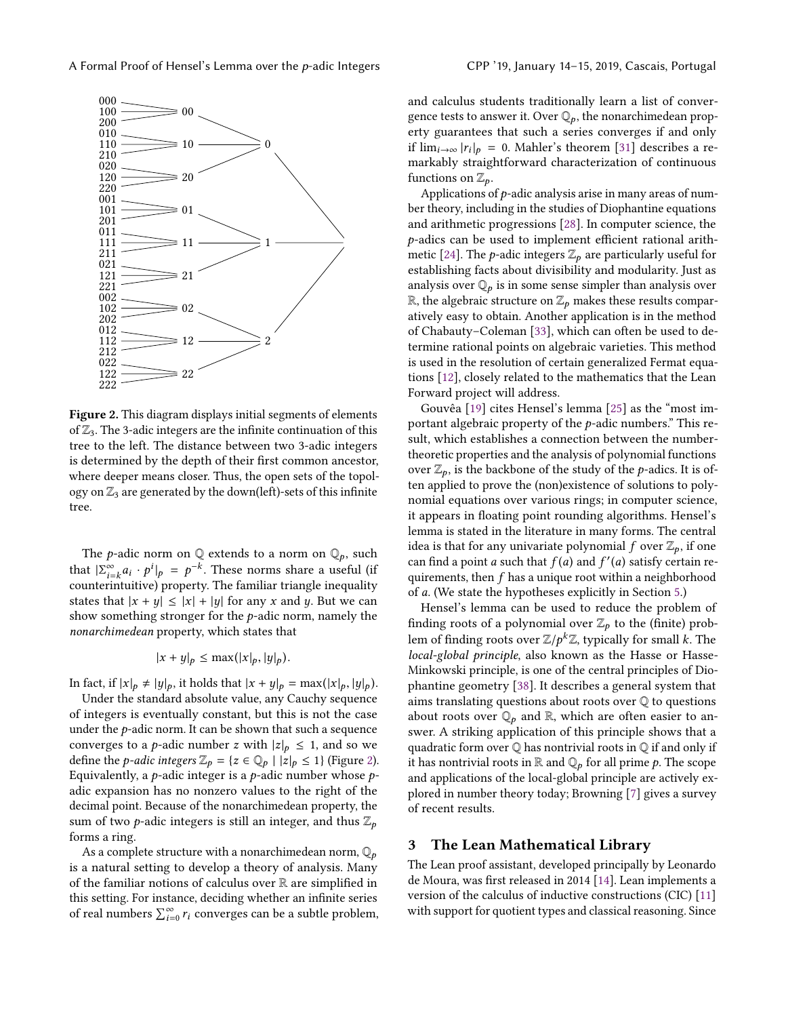<span id="page-2-1"></span>

Figure 2. This diagram displays initial segments of elements of  $\mathbb{Z}_3$ . The 3-adic integers are the infinite continuation of this tree to the left. The distance between two 3-adic integers is determined by the depth of their first common ancestor, where deeper means closer. Thus, the open sets of the topology on  $\mathbb{Z}_3$  are generated by the down(left)-sets of this infinite tree.

The *p*-adic norm on  $\mathbb Q$  extends to a norm on  $\mathbb Q_p$ , such that  $|\sum_{i=k}^{\infty} a_i \cdot p^i|_p = p^{-k}$ . These norms share a useful (if counterintuitive) property. The familiar triangle inequality states that  $|x + y| \le |x| + |y|$  for any x and y. But we can show something stronger for the p-adic norm, namely the nonarchimedean property, which states that

$$
|x+y|_p \le \max(|x|_p, |y|_p).
$$

In fact, if  $|x|_p \neq |y|_p$ , it holds that  $|x + y|_p = \max(|x|_p, |y|_p)$ .

Under the standard absolute value, any Cauchy sequence of integers is eventually constant, but this is not the case under the  $p$ -adic norm. It can be shown that such a sequence converges to a *p*-adic number *z* with  $|z|_p \leq 1$ , and so we define the *p*-adic integers  $\mathbb{Z}_p = \{z \in \mathbb{Q}_p \mid |z|_p \leq 1\}$  (Figure [2\)](#page-2-1). Equivalently, a *p*-adic integer is a *p*-adic number whose  $p$ adic expansion has no nonzero values to the right of the decimal point. Because of the nonarchimedean property, the sum of two *p*-adic integers is still an integer, and thus  $\mathbb{Z}_p$ forms a ring.

As a complete structure with a nonarchimedean norm,  $\mathbb{Q}_p$ is a natural setting to develop a theory of analysis. Many of the familiar notions of calculus over R are simplified in this setting. For instance, deciding whether an infinite series of real numbers  $\sum_{i=0}^{\infty} r_i$  converges can be a subtle problem,

and calculus students traditionally learn a list of convergence tests to answer it. Over  $\mathbb{Q}_p$ , the nonarchimedean property guarantees that such a series converges if and only if  $\lim_{i\to\infty} |r_i|_p = 0$ . Mahler's theorem [\[31\]](#page-10-9) describes a re-<br>markably straightforward characterization of continuous markably straightforward characterization of continuous functions on  $\mathbb{Z}_p$ .

Applications of  $p$ -adic analysis arise in many areas of number theory, including in the studies of Diophantine equations and arithmetic progressions [\[28\]](#page-10-10). In computer science, the p-adics can be used to implement efficient rational arith-metic [\[24\]](#page-10-11). The *p*-adic integers  $\mathbb{Z}_p$  are particularly useful for establishing facts about divisibility and modularity. Just as analysis over  $\mathbb{Q}_p$  is in some sense simpler than analysis over  $\mathbb{R}$ , the algebraic structure on  $\mathbb{Z}_p$  makes these results comparatively easy to obtain. Another application is in the method of Chabauty–Coleman [\[33\]](#page-10-12), which can often be used to determine rational points on algebraic varieties. This method is used in the resolution of certain generalized Fermat equations [\[12\]](#page-10-13), closely related to the mathematics that the Lean Forward project will address.

Gouvêa [\[19\]](#page-10-14) cites Hensel's lemma [\[25\]](#page-10-15) as the "most important algebraic property of the p-adic numbers." This result, which establishes a connection between the numbertheoretic properties and the analysis of polynomial functions over  $\mathbb{Z}_p$ , is the backbone of the study of the *p*-adics. It is often applied to prove the (non)existence of solutions to polynomial equations over various rings; in computer science, it appears in floating point rounding algorithms. Hensel's lemma is stated in the literature in many forms. The central idea is that for any univariate polynomial f over  $\mathbb{Z}_p$ , if one can find a point *a* such that  $f(a)$  and  $f'(a)$  satisfy certain re-<br>quirements then f has a unique root within a neighborhood quirements, then  $f$  has a unique root within a neighborhood of a. (We state the hypotheses explicitly in Section [5.](#page-6-0))

Hensel's lemma can be used to reduce the problem of finding roots of a polynomial over  $\mathbb{Z}_p$  to the (finite) problem of finding roots over  $\mathbb{Z}/p^k\mathbb{Z}$ , typically for small k. The<br>local-global principle, also known as the Hasse or Hasse local-global principle, also known as the Hasse or Hasse-Minkowski principle, is one of the central principles of Diophantine geometry [\[38\]](#page-11-1). It describes a general system that aims translating questions about roots over Q to questions about roots over  $\mathbb{Q}_p$  and  $\mathbb{R}$ , which are often easier to answer. A striking application of this principle shows that a quadratic form over  $\mathbb Q$  has nontrivial roots in  $\mathbb Q$  if and only if it has nontrivial roots in  $\mathbb R$  and  $\mathbb Q_p$  for all prime  $p$ . The scope and applications of the local-global principle are actively explored in number theory today; Browning [\[7\]](#page-10-16) gives a survey of recent results.

#### <span id="page-2-0"></span>3 The Lean Mathematical Library

The Lean proof assistant, developed principally by Leonardo de Moura, was first released in 2014 [\[14\]](#page-10-17). Lean implements a version of the calculus of inductive constructions (CIC) [\[11\]](#page-10-18) with support for quotient types and classical reasoning. Since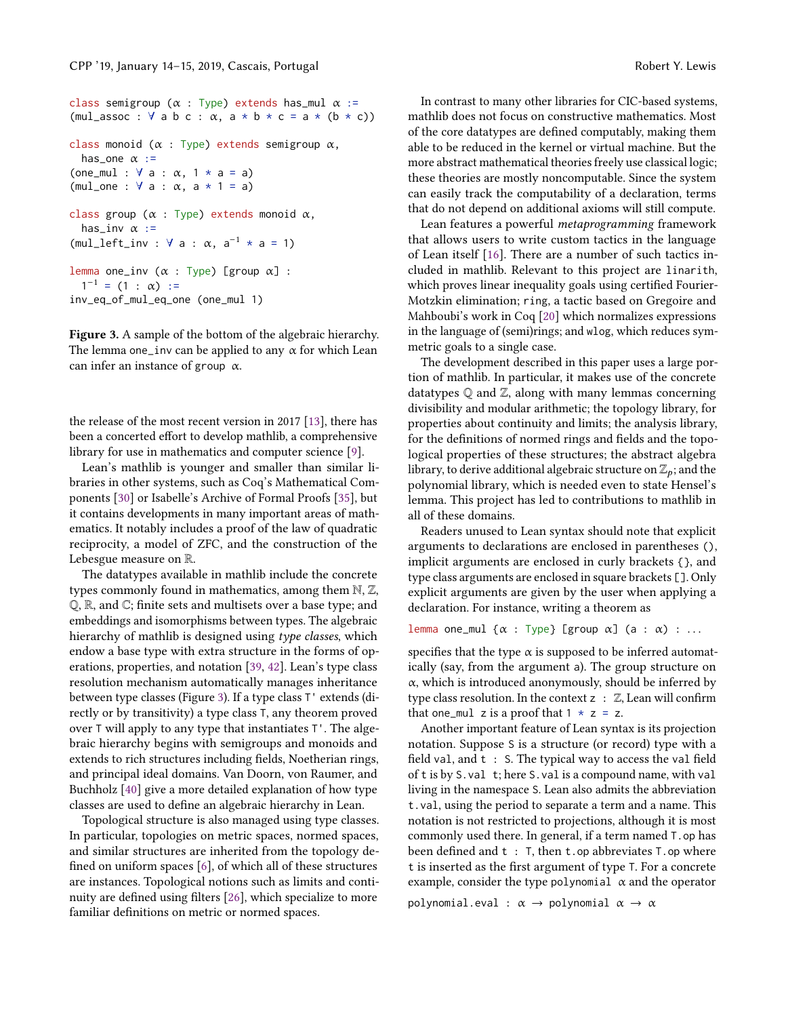```
class semigroup (\alpha : Type) extends has_mul \alpha :=
(mul_assoc : \forall ab c : \alpha, a * b * c = a * (b * c))class monoid (\alpha : Type) extends semigroup \alpha,
  has_one \alpha :=
(one_mul : \forall a : \alpha, 1 \star a = a)
(mul_one : \forall a : \alpha, a * 1 = a)
class group (\alpha : Type) extends monoid \alpha,
  has_inv \alpha :=
(mul\_left\_inv : \forall a : \alpha, a^{-1} * a = 1)lemma one_inv (\alpha : Type) [group \alpha] :
  1^{-1} = (1 : \alpha) :=inv_eq_of_mul_eq_one (one_mul 1)
```
Figure 3. A sample of the bottom of the algebraic hierarchy. The lemma one\_inv can be applied to any  $\alpha$  for which Lean can infer an instance of group  $\alpha$ .

the release of the most recent version in 2017 [\[13\]](#page-10-19), there has been a concerted effort to develop mathlib, a comprehensive library for use in mathematics and computer science [\[9\]](#page-10-20).

Lean's mathlib is younger and smaller than similar libraries in other systems, such as Coq's Mathematical Components [\[30\]](#page-10-2) or Isabelle's Archive of Formal Proofs [\[35\]](#page-10-4), but it contains developments in many important areas of mathematics. It notably includes a proof of the law of quadratic reciprocity, a model of ZFC, and the construction of the Lebesgue measure on R.

The datatypes available in mathlib include the concrete types commonly found in mathematics, among them N, Z, Q, R, and C; finite sets and multisets over a base type; and embeddings and isomorphisms between types. The algebraic hierarchy of mathlib is designed using type classes, which endow a base type with extra structure in the forms of operations, properties, and notation [\[39,](#page-11-2) [42\]](#page-11-3). Lean's type class resolution mechanism automatically manages inheritance between type classes (Figure [3\)](#page-3-0). If a type class T' extends (directly or by transitivity) a type class T, any theorem proved over T will apply to any type that instantiates T'. The algebraic hierarchy begins with semigroups and monoids and extends to rich structures including fields, Noetherian rings, and principal ideal domains. Van Doorn, von Raumer, and Buchholz [\[40\]](#page-11-4) give a more detailed explanation of how type classes are used to define an algebraic hierarchy in Lean.

Topological structure is also managed using type classes. In particular, topologies on metric spaces, normed spaces, and similar structures are inherited from the topology defined on uniform spaces [\[6\]](#page-10-21), of which all of these structures are instances. Topological notions such as limits and continuity are defined using filters [\[26\]](#page-10-22), which specialize to more familiar definitions on metric or normed spaces.

In contrast to many other libraries for CIC-based systems, mathlib does not focus on constructive mathematics. Most of the core datatypes are defined computably, making them able to be reduced in the kernel or virtual machine. But the more abstract mathematical theories freely use classical logic; these theories are mostly noncomputable. Since the system can easily track the computability of a declaration, terms that do not depend on additional axioms will still compute.

Lean features a powerful metaprogramming framework that allows users to write custom tactics in the language of Lean itself [\[16\]](#page-10-23). There are a number of such tactics included in mathlib. Relevant to this project are linarith, which proves linear inequality goals using certified Fourier-Motzkin elimination; ring, a tactic based on Gregoire and Mahboubi's work in Coq [\[20\]](#page-10-24) which normalizes expressions in the language of (semi)rings; and wlog, which reduces symmetric goals to a single case.

The development described in this paper uses a large portion of mathlib. In particular, it makes use of the concrete datatypes  $\mathbb Q$  and  $\mathbb Z$ , along with many lemmas concerning divisibility and modular arithmetic; the topology library, for properties about continuity and limits; the analysis library, for the definitions of normed rings and fields and the topological properties of these structures; the abstract algebra library, to derive additional algebraic structure on  $\mathbb{Z}_p$ ; and the polynomial library, which is needed even to state Hensel's lemma. This project has led to contributions to mathlib in all of these domains.

Readers unused to Lean syntax should note that explicit arguments to declarations are enclosed in parentheses (), implicit arguments are enclosed in curly brackets {}, and type class arguments are enclosed in square brackets []. Only explicit arguments are given by the user when applying a declaration. For instance, writing a theorem as

```
lemma one_mul {\alpha : Type} [group \alpha] (a : \alpha) : ...
```
specifies that the type  $\alpha$  is supposed to be inferred automatically (say, from the argument a). The group structure on α, which is introduced anonymously, should be inferred by type class resolution. In the context  $z : \mathbb{Z}$ , Lean will confirm that one\_mul z is a proof that  $1 \times z = z$ .

Another important feature of Lean syntax is its projection notation. Suppose S is a structure (or record) type with a field val, and t : S. The typical way to access the val field of t is by S.val t; here S.val is a compound name, with val living in the namespace S. Lean also admits the abbreviation t.val, using the period to separate a term and a name. This notation is not restricted to projections, although it is most commonly used there. In general, if a term named T.op has been defined and t : T, then t.op abbreviates T.op where t is inserted as the first argument of type T. For a concrete example, consider the type polynomial  $\alpha$  and the operator

polynomial.eval :  $\alpha \rightarrow$  polynomial  $\alpha \rightarrow \alpha$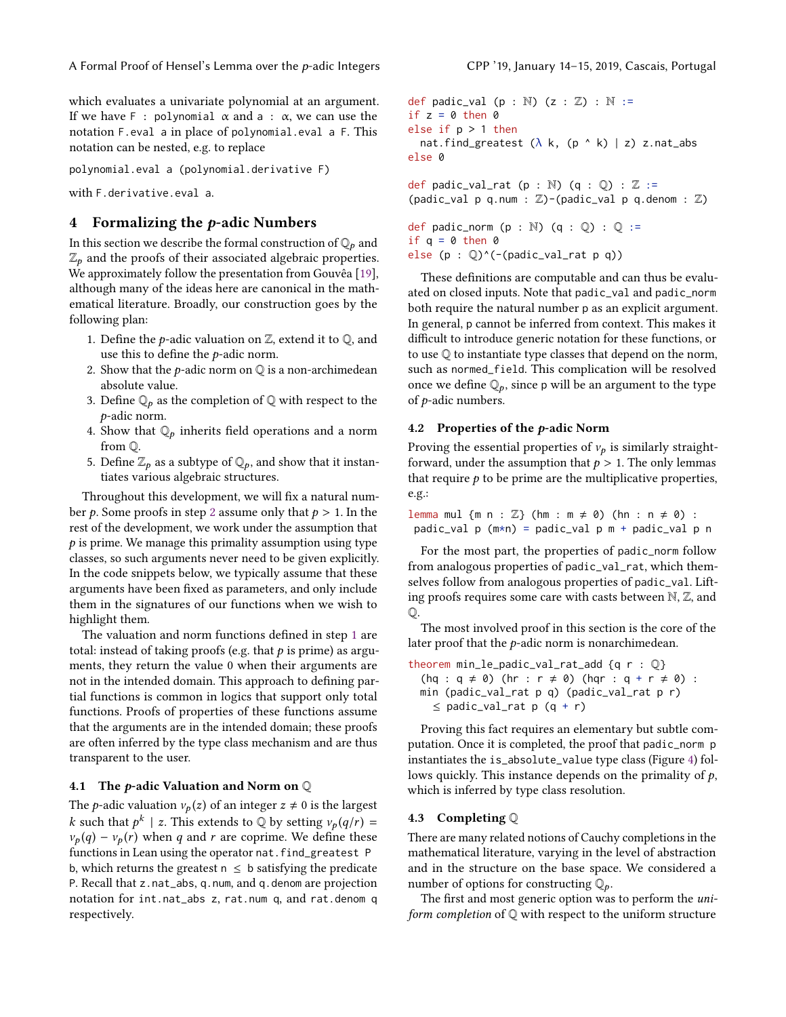A Formal Proof of Hensel's Lemma over the p-adic Integers CPP '19, January 14-15, 2019, Cascais, Portugal

which evaluates a univariate polynomial at an argument. If we have F : polynomial  $\alpha$  and a :  $\alpha$ , we can use the notation F.eval a in place of polynomial.eval a F. This notation can be nested, e.g. to replace

polynomial.eval a (polynomial.derivative F)

with F.derivative.eval a.

### <span id="page-4-0"></span>4 Formalizing the  $p$ -adic Numbers

In this section we describe the formal construction of  $\mathbb{Q}_p$  and  $\mathbb{Z}_p$  and the proofs of their associated algebraic properties. We approximately follow the presentation from Gouvêa [\[19\]](#page-10-14), although many of the ideas here are canonical in the mathematical literature. Broadly, our construction goes by the following plan:

- <span id="page-4-2"></span>1. Define the *p*-adic valuation on  $\mathbb{Z}$ , extend it to  $\mathbb{Q}$ , and use this to define the p-adic norm.
- <span id="page-4-1"></span>2. Show that the *p*-adic norm on  $\mathbb Q$  is a non-archimedean absolute value.
- 3. Define  $\mathbb{Q}_p$  as the completion of  $\mathbb{Q}$  with respect to the p-adic norm.
- <span id="page-4-3"></span>4. Show that  $\mathbb{Q}_p$  inherits field operations and a norm from Q.
- 5. Define  $\mathbb{Z}_p$  as a subtype of  $\mathbb{Q}_p$ , and show that it instantiates various algebraic structures.

Throughout this development, we will fix a natural num-ber p. Some proofs in step [2](#page-4-1) assume only that  $p > 1$ . In the rest of the development, we work under the assumption that  $p$  is prime. We manage this primality assumption using type classes, so such arguments never need to be given explicitly. In the code snippets below, we typically assume that these arguments have been fixed as parameters, and only include them in the signatures of our functions when we wish to highlight them.

The valuation and norm functions defined in step [1](#page-4-2) are total: instead of taking proofs (e.g. that  $p$  is prime) as arguments, they return the value 0 when their arguments are not in the intended domain. This approach to defining partial functions is common in logics that support only total functions. Proofs of properties of these functions assume that the arguments are in the intended domain; these proofs are often inferred by the type class mechanism and are thus transparent to the user.

#### 4.1 The *p*-adic Valuation and Norm on  $\mathbb Q$

The *p*-adic valuation  $v_p(z)$  of an integer  $z \neq 0$  is the largest k such that  $p^k \mid z$ . This extends to  $\mathbb{Q}$  by setting  $v_p(q/r) =$ <br> $v_q(q) = v_q(r)$  when a and r are continue. We define these  $v_p(q) - v_p(r)$  when q and r are coprime. We define these functions in Lean using the operator nat.find\_greatest P b, which returns the greatest  $n \leq b$  satisfying the predicate P. Recall that z.nat\_abs, q.num, and q.denom are projection notation for int.nat\_abs z, rat.num q, and rat.denom q respectively.

def padic\_val (p : N)  $(z : \mathbb{Z}) : \mathbb{N} :=$ if  $z = 0$  then 0 else if p > 1 then nat.find\_greatest  $(\lambda \nk, (p \land k) | z) z.nat\_abs$ else 0

def padic\_val\_rat (p : N)  $(q : Q) : Z :=$ (padic\_val p q.num :  $\mathbb{Z}$ )-(padic\_val p q.denom :  $\mathbb{Z}$ )

```
def padic_norm (p : \mathbb{N}) (q : \mathbb{Q}) : \mathbb{Q} :=if q = 0 then 0
else (p : Q)^(-(padic_val_rat p q))
```
These definitions are computable and can thus be evaluated on closed inputs. Note that padic\_val and padic\_norm both require the natural number p as an explicit argument. In general, p cannot be inferred from context. This makes it difficult to introduce generic notation for these functions, or to use Q to instantiate type classes that depend on the norm, such as normed\_field. This complication will be resolved once we define  $\mathbb{Q}_p$ , since p will be an argument to the type of p-adic numbers.

#### 4.2 Properties of the p-adic Norm

Proving the essential properties of  $v_p$  is similarly straightforward, under the assumption that  $p > 1$ . The only lemmas that require  $p$  to be prime are the multiplicative properties, e.g.:

lemma mul  $\{m n : \mathbb{Z}\}$   $(hm : m \neq 0)$   $(hn : n \neq 0)$ : padic\_val p (m\*n) = padic\_val p m + padic\_val p n

For the most part, the properties of padic\_norm follow from analogous properties of padic\_val\_rat, which themselves follow from analogous properties of padic\_val. Lifting proofs requires some care with casts between N, Z, and  $\mathbb{O}.$ 

The most involved proof in this section is the core of the later proof that the  $p$ -adic norm is nonarchimedean.

theorem min\_le\_padic\_val\_rat\_add {q r :  $\mathbb{Q}$ }  $(hq : q \neq 0)$   $(hr : r \neq 0)$   $(hqr : q + r \neq 0)$ : min (padic\_val\_rat p q) (padic\_val\_rat p r)  $\le$  padic\_val\_rat p (q + r)

Proving this fact requires an elementary but subtle computation. Once it is completed, the proof that padic\_norm p instantiates the is\_absolute\_value type class (Figure [4\)](#page-5-0) follows quickly. This instance depends on the primality of  $p$ , which is inferred by type class resolution.

#### <span id="page-4-4"></span>4.3 Completing Q

There are many related notions of Cauchy completions in the mathematical literature, varying in the level of abstraction and in the structure on the base space. We considered a number of options for constructing  $\mathbb{Q}_p$ .

The first and most generic option was to perform the uniform completion of Q with respect to the uniform structure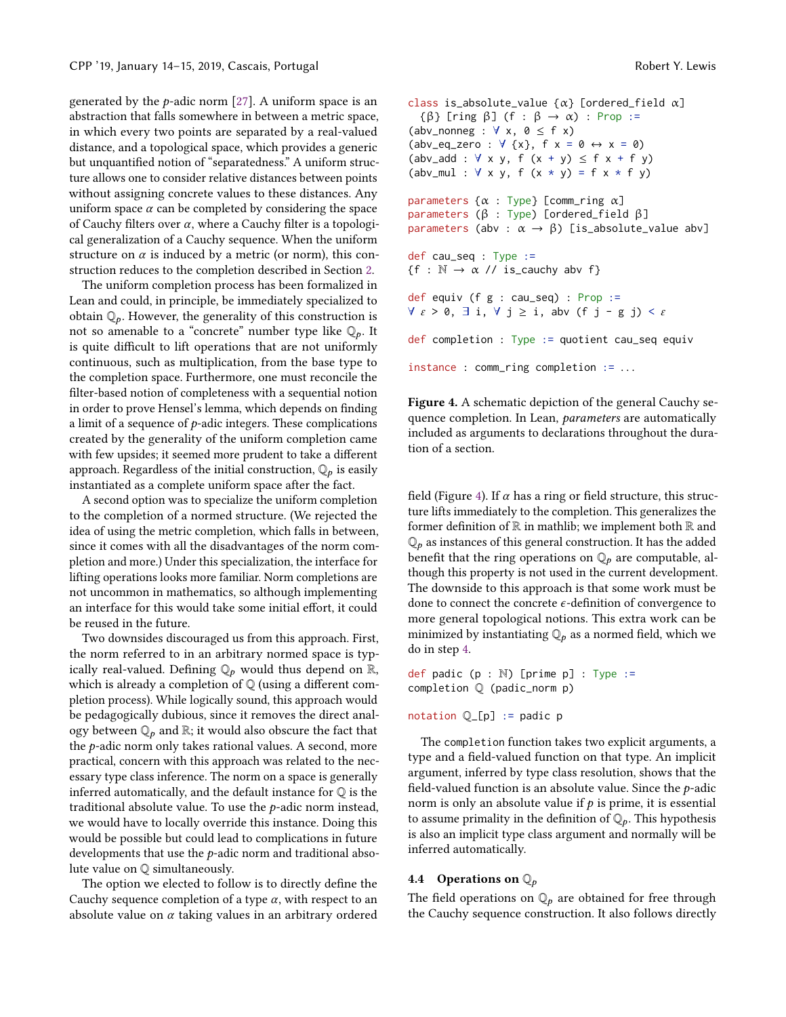generated by the p-adic norm [\[27\]](#page-10-25). A uniform space is an abstraction that falls somewhere in between a metric space, in which every two points are separated by a real-valued distance, and a topological space, which provides a generic but unquantified notion of "separatedness." A uniform structure allows one to consider relative distances between points without assigning concrete values to these distances. Any uniform space  $\alpha$  can be completed by considering the space of Cauchy filters over  $\alpha$ , where a Cauchy filter is a topological generalization of a Cauchy sequence. When the uniform structure on  $\alpha$  is induced by a metric (or norm), this construction reduces to the completion described in Section [2.](#page-1-0)

The uniform completion process has been formalized in Lean and could, in principle, be immediately specialized to obtain  $\mathbb{Q}_p$ . However, the generality of this construction is not so amenable to a "concrete" number type like  $\mathbb{Q}_p$ . It is quite difficult to lift operations that are not uniformly continuous, such as multiplication, from the base type to the completion space. Furthermore, one must reconcile the filter-based notion of completeness with a sequential notion in order to prove Hensel's lemma, which depends on finding a limit of a sequence of  $p$ -adic integers. These complications created by the generality of the uniform completion came with few upsides; it seemed more prudent to take a different approach. Regardless of the initial construction,  $\mathbb{Q}_p$  is easily instantiated as a complete uniform space after the fact.

A second option was to specialize the uniform completion to the completion of a normed structure. (We rejected the idea of using the metric completion, which falls in between, since it comes with all the disadvantages of the norm completion and more.) Under this specialization, the interface for lifting operations looks more familiar. Norm completions are not uncommon in mathematics, so although implementing an interface for this would take some initial effort, it could be reused in the future.

Two downsides discouraged us from this approach. First, the norm referred to in an arbitrary normed space is typically real-valued. Defining  $\mathbb{Q}_p$  would thus depend on  $\mathbb{R}$ , which is already a completion of  $\mathbb Q$  (using a different completion process). While logically sound, this approach would be pedagogically dubious, since it removes the direct analogy between  $\mathbb{Q}_p$  and  $\mathbb{R}$ ; it would also obscure the fact that the p-adic norm only takes rational values. A second, more practical, concern with this approach was related to the necessary type class inference. The norm on a space is generally inferred automatically, and the default instance for Q is the traditional absolute value. To use the p-adic norm instead, we would have to locally override this instance. Doing this would be possible but could lead to complications in future developments that use the p-adic norm and traditional absolute value on Q simultaneously.

The option we elected to follow is to directly define the Cauchy sequence completion of a type  $\alpha$ , with respect to an absolute value on  $\alpha$  taking values in an arbitrary ordered <span id="page-5-0"></span>class is\_absolute\_value  $\{\alpha\}$  [ordered\_field  $\alpha$ ] { $\beta$ } [ring  $\beta$ ] (f :  $\beta \rightarrow \alpha$ ) : Prop := (abv\_nonneg :  $\forall$  x,  $\emptyset \leq f$  x) (abv\_eq\_zero :  $\forall$  {x},  $f$   $x = 0 \leftrightarrow x = 0$ )  $(abv_add : V \times y, f (x + y) \leq f x + f y)$ (abv\_mul :  $\forall$  x y, f  $(x * y) = f x * f y$ ) parameters  $\{\alpha : \text{Type}\}\$  [comm\_ring  $\alpha$ ] parameters ( $β$  : Type) [ordered\_field  $β$ ] parameters (abv :  $\alpha \rightarrow \beta$ ) [is\_absolute\_value abv] def cau\_seq : Type :=  ${f : \mathbb{N} \to \alpha \text{ // is}_\text{cauchy} \text{ abv f}}$ def equiv (f g : cau\_seq) : Prop :=  $\forall \varepsilon > 0$ ,  $\exists$  i,  $\forall$   $j \geq i$ , abv (f j - g j) <  $\varepsilon$ def completion : Type := quotient cau\_seq equiv instance : comm\_ring completion := . . .

Figure 4. A schematic depiction of the general Cauchy sequence completion. In Lean, parameters are automatically included as arguments to declarations throughout the duration of a section.

field (Figure [4\)](#page-5-0). If  $\alpha$  has a ring or field structure, this structure lifts immediately to the completion. This generalizes the former definition of  $\mathbb R$  in mathlib; we implement both  $\mathbb R$  and  $\mathbb{Q}_p$  as instances of this general construction. It has the added<br>hanget that the ring operations on  $\mathbb{Q}_p$  are computable all benefit that the ring operations on  $\mathbb{Q}_p$  are computable, although this property is not used in the current development. The downside to this approach is that some work must be done to connect the concrete  $\epsilon$ -definition of convergence to more general topological notions. This extra work can be minimized by instantiating  $\mathbb{Q}_p$  as a normed field, which we do in step [4.](#page-4-3)

def padic  $(p : \mathbb{N})$  [prime  $p$ ] : Type := completion Q (padic\_norm p)

notation  $Q_{-[p]} :=$  padic p

The completion function takes two explicit arguments, a type and a field-valued function on that type. An implicit argument, inferred by type class resolution, shows that the field-valued function is an absolute value. Since the p-adic norm is only an absolute value if  $p$  is prime, it is essential to assume primality in the definition of  $\mathbb{Q}_p$ . This hypothesis is also an implicit type class argument and normally will be inferred automatically.

#### 4.4 Operations on  $\mathbb{Q}_p$

The field operations on  $\mathbb{Q}_p$  are obtained for free through the Cauchy sequence construction. It also follows directly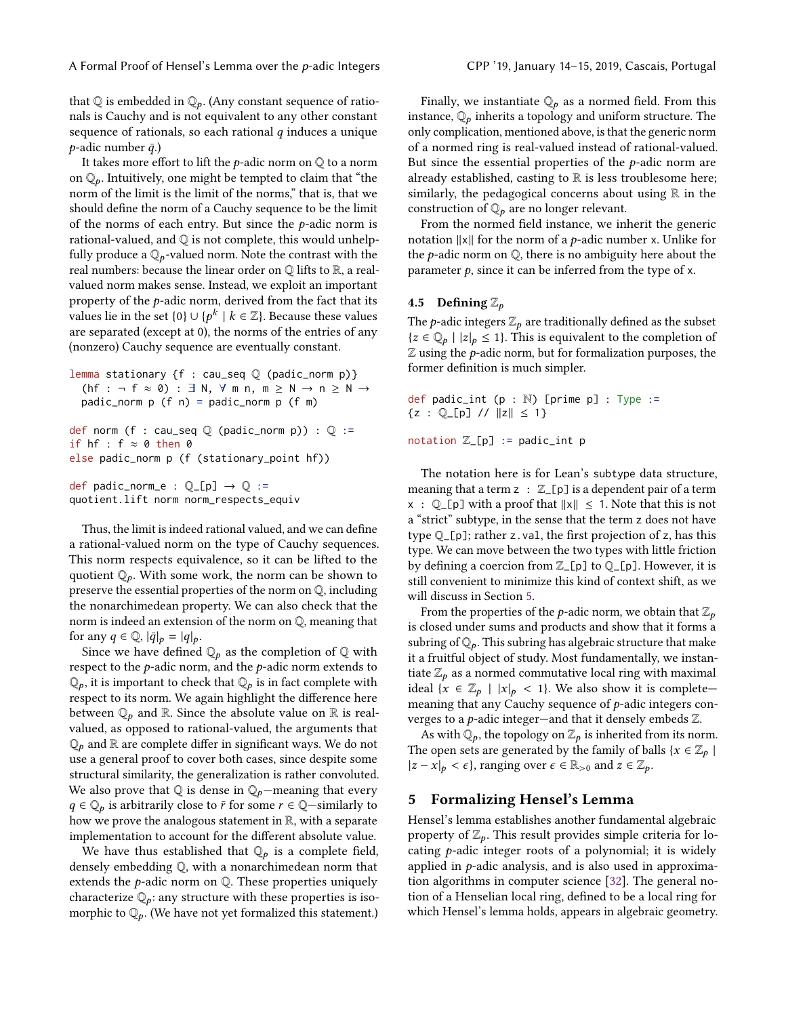A Formal Proof of Hensel's Lemma over the *p*-adic Integers CPP '19, January 14–15, 2019, Cascais, Portugal

that  $\mathbb Q$  is embedded in  $\mathbb Q_p$ . (Any constant sequence of rationals is Cauchy and is not equivalent to any other constant sequence of rationals, so each rational  $q$  induces a unique  $p$ -adic number  $\bar{q}$ .)

It takes more effort to lift the  $p$ -adic norm on  $\mathbb Q$  to a norm on  $\mathbb{Q}_p$ . Intuitively, one might be tempted to claim that "the norm of the limit is the limit of the norms," that is, that we should define the norm of a Cauchy sequence to be the limit of the norms of each entry. But since the  $p$ -adic norm is rational-valued, and  $\mathbb Q$  is not complete, this would unhelpfully produce a  $\mathbb{Q}_p$ -valued norm. Note the contrast with the real numbers: because the linear order on  $\mathbb Q$  lifts to  $\mathbb R$ , a realvalued norm makes sense. Instead, we exploit an important property of the  $p$ -adic norm, derived from the fact that its values lie in the set  $\{0\} \cup \{p^k \mid k \in \mathbb{Z}\}\$ . Because these values are separated (except at 0) the norms of the entries of any are separated (except at 0), the norms of the entries of any (nonzero) Cauchy sequence are eventually constant.

lemma stationary {f : cau\_seq Q (padic\_norm p)} (hf : ¬ f  $\approx$  0) :  $\exists$  N,  $\forall$  m n, m  $\geq$  N  $\rightarrow$  n  $\geq$  N  $\rightarrow$ padic\_norm  $p (f n) = p$ adic\_norm  $p (f m)$ 

```
def norm (f : cau_seq \mathbb Q (padic_norm p)) : \mathbb Q :=
if hf : f \approx 0 then 0
else padic_norm p (f (stationary_point hf))
def padic_norm_e : \mathbb{Q}_-[p] \rightarrow \mathbb{Q} :=
```
quotient.lift norm norm\_respects\_equiv

Thus, the limit is indeed rational valued, and we can define a rational-valued norm on the type of Cauchy sequences. This norm respects equivalence, so it can be lifted to the quotient  $\mathbb{Q}_p$ . With some work, the norm can be shown to preserve the essential properties of the norm on Q, including the nonarchimedean property. We can also check that the norm is indeed an extension of the norm on Q, meaning that for any  $q \in \mathbb{Q}$ ,  $|\bar{q}|_p = |q|_p$ .

Since we have defined  $\mathbb{Q}_p$  as the completion of  $\mathbb Q$  with respect to the  $p$ -adic norm, and the  $p$ -adic norm extends to  $\mathbb{Q}_p$ , it is important to check that  $\mathbb{Q}_p$  is in fact complete with recreate to its norm. We exain highlight the difference have respect to its norm. We again highlight the difference here between  $\mathbb{Q}_p$  and  $\mathbb{R}$ . Since the absolute value on  $\mathbb{R}$  is realvalued, as opposed to rational-valued, the arguments that  $\mathbb{Q}_p$  and  $\mathbb R$  are complete differ in significant ways. We do not use a general proof to cover both cases, since despite some structural similarity, the generalization is rather convoluted. We also prove that  $\mathbb Q$  is dense in  $\mathbb Q_p$ —meaning that every  $q \in \mathbb{Q}_p$  is arbitrarily close to  $\bar{r}$  for some  $r \in \mathbb{Q}$ —similarly to how we prove the analogous statement in R, with a separate implementation to account for the different absolute value.

We have thus established that  $\mathbb{Q}_p$  is a complete field, densely embedding Q, with a nonarchimedean norm that extends the  $p$ -adic norm on  $Q$ . These properties uniquely characterize  $\mathbb{Q}_p$ : any structure with these properties is isomorphic to  $\mathbb{Q}_p$ . (We have not yet formalized this statement.)

Finally, we instantiate  $\mathbb{Q}_p$  as a normed field. From this instance,  $\mathbb{Q}_p$  inherits a topology and uniform structure. The only complication, mentioned above, is that the generic norm of a normed ring is real-valued instead of rational-valued. But since the essential properties of the  $p$ -adic norm are already established, casting to  $\mathbb R$  is less troublesome here; similarly, the pedagogical concerns about using  $\mathbb R$  in the construction of  $\mathbb{Q}_p$  are no longer relevant.

From the normed field instance, we inherit the generic notation <sup>∥</sup>x<sup>∥</sup> for the norm of a p-adic number <sup>x</sup>. Unlike for the  $p$ -adic norm on  $Q$ , there is no ambiguity here about the parameter  $p$ , since it can be inferred from the type of x.

#### 4.5 Defining  $\mathbb{Z}_p$

The *p*-adic integers  $\mathbb{Z}_p$  are traditionally defined as the subset  ${z \in \mathbb{Q}_p \mid |z|_p \leq 1}.$  This is equivalent to the completion of  $Z$  using the  $p$ -adic norm, but for formalization purposes, the former definition is much simpler.

def padic\_int  $(p : N)$  [prime p] : Type :=  ${z : \mathbb{Q}[p] \; / \; ||z|| \leq 1}$ 

notation  $\mathbb{Z}\_$ [p] := padic\_int p

The notation here is for Lean's subtype data structure, meaning that a term  $z : \mathbb{Z}[\mathsf{p}]$  is a dependent pair of a term  $x : \mathbb{Q}$ [p] with a proof that  $||x|| \leq 1$ . Note that this is not a "strict" subtype, in the sense that the term z does not have type Q\_[p]; rather z.val, the first projection of z, has this type. We can move between the two types with little friction by defining a coercion from  $\mathbb{Z}$  [p] to  $\mathbb{Q}$  [p]. However, it is still convenient to minimize this kind of context shift, as we will discuss in Section [5.](#page-6-0)

From the properties of the *p*-adic norm, we obtain that  $\mathbb{Z}_p$ is closed under sums and products and show that it forms a subring of  $\mathbb{Q}_p$ . This subring has algebraic structure that make it a fruitful object of study. Most fundamentally, we instantiate  $\mathbb{Z}_p$  as a normed commutative local ring with maximal ideal  $\{x \in \mathbb{Z}_p \mid |x|_p < 1\}$ . We also show it is completemeaning that any Cauchy sequence of p-adic integers converges to a  $p$ -adic integer—and that it densely embeds  $\mathbb{Z}$ .

As with  $\mathbb{Q}_p$ , the topology on  $\mathbb{Z}_p$  is inherited from its norm. The open sets are generated by the family of balls { $x \in \mathbb{Z}_p$  |  $|z - x|_p < \epsilon$ , ranging over  $\epsilon \in \mathbb{R}_{>0}$  and  $z \in \mathbb{Z}_p$ .

#### <span id="page-6-0"></span>5 Formalizing Hensel's Lemma

Hensel's lemma establishes another fundamental algebraic property of  $\mathbb{Z}_p$ . This result provides simple criteria for locating  $p$ -adic integer roots of a polynomial; it is widely applied in  $p$ -adic analysis, and is also used in approximation algorithms in computer science [\[32\]](#page-10-26). The general notion of a Henselian local ring, defined to be a local ring for which Hensel's lemma holds, appears in algebraic geometry.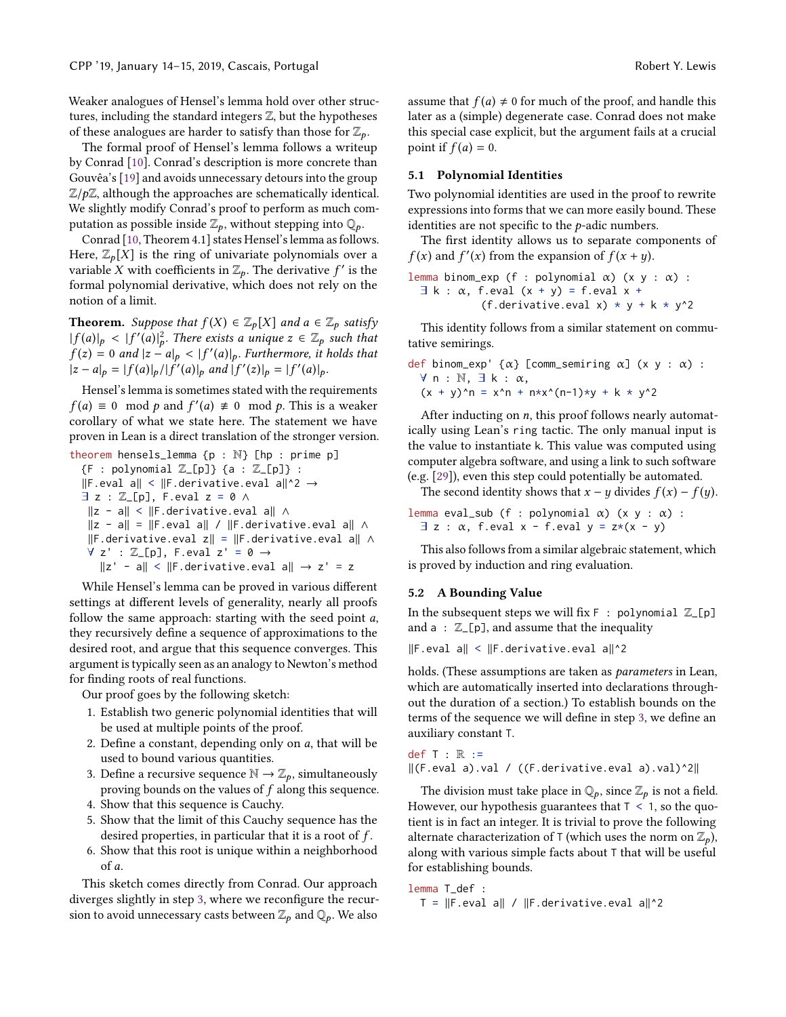Weaker analogues of Hensel's lemma hold over other structures, including the standard integers Z, but the hypotheses of these analogues are harder to satisfy than those for  $\mathbb{Z}_p$ .

The formal proof of Hensel's lemma follows a writeup by Conrad [\[10\]](#page-10-27). Conrad's description is more concrete than Gouvêa's [\[19\]](#page-10-14) and avoids unnecessary detours into the group  $\mathbb{Z}/p\mathbb{Z}$ , although the approaches are schematically identical. We slightly modify Conrad's proof to perform as much computation as possible inside  $\mathbb{Z}_p$ , without stepping into  $\mathbb{Q}_p$ .

Conrad [\[10,](#page-10-27) Theorem 4.1] states Hensel's lemma as follows. Here,  $\mathbb{Z}_p[X]$  is the ring of univariate polynomials over a variable X with coefficients in  $\mathbb{Z}_p$ . The derivative f' is the formal polynomial derivative, which does not rely on the formal polynomial derivative, which does not rely on the notion of a limit.

**Theorem.** Suppose that  $f(X) \in \mathbb{Z}_p[X]$  and  $a \in \mathbb{Z}_p$  satisfy  $|f(a)|_p < |f'(a)|_p^2$ . There exists a unique  $z \in \mathbb{Z}_p$  such that  $f(z) = 0$  and  $|z - a| \le |f'(a)|$ . Eurthermore, it holds that  $\hat{f}(z) = 0$  and  $|z - a|_p < |f'(a)|_p$ . Furthermore, it holds that  $|z - a| = |f(a)|/|f'(a)|$  and  $|f'(z)| = |f'(a)|$  $|z - a|_p = |f(a)|_p / |f'(a)|_p$  and  $|f'(z)|_p = |f'(a)|_p$ .

Hensel's lemma is sometimes stated with the requirements  $f(a) \equiv 0 \mod p$  and  $f'(a) \not\equiv 0 \mod p$ . This is a weaker corollary of what we state here. The statement we have proven in Lean is a direct translation of the stronger version.

theorem hensels\_lemma {p : N} [hp : prime p]  ${F : polynomial Z_{[p]}{ a : Z_{[p]} } :$ ∥F.eval a∥ < ∥F.derivative.eval a∥^2 →  $\exists z : \mathbb{Z}[p],$  F.eval  $z = \emptyset \land \emptyset$ ∥z - a∥ < ∥F.derivative.eval a∥ ∧ ∥z - a∥ = ∥F.eval a∥ / ∥F.derivative.eval a∥ ∧ ∥F.derivative.eval z∥ = ∥F.derivative.eval a∥ ∧  $\forall$  z' :  $\mathbb{Z}$  [p], F.eval z' = 0  $\rightarrow$ ∥z' - a∥ < ∥F.derivative.eval a∥ → z' = z

While Hensel's lemma can be proved in various different settings at different levels of generality, nearly all proofs follow the same approach: starting with the seed point a, they recursively define a sequence of approximations to the desired root, and argue that this sequence converges. This argument is typically seen as an analogy to Newton's method for finding roots of real functions.

Our proof goes by the following sketch:

- <span id="page-7-1"></span>1. Establish two generic polynomial identities that will be used at multiple points of the proof.
- 2. Define a constant, depending only on  $a$ , that will be used to bound various quantities.
- <span id="page-7-0"></span>3. Define a recursive sequence  $\mathbb{N} \to \mathbb{Z}_p$ , simultaneously proving bounds on the values of  $f$  along this sequence.
- 4. Show that this sequence is Cauchy.
- 5. Show that the limit of this Cauchy sequence has the desired properties, in particular that it is a root of f .
- 6. Show that this root is unique within a neighborhood of a.

This sketch comes directly from Conrad. Our approach diverges slightly in step [3,](#page-7-0) where we reconfigure the recursion to avoid unnecessary casts between  $\mathbb{Z}_p$  and  $\mathbb{Q}_p$ . We also

assume that  $f(a) \neq 0$  for much of the proof, and handle this later as a (simple) degenerate case. Conrad does not make this special case explicit, but the argument fails at a crucial point if  $f(a) = 0$ .

#### 5.1 Polynomial Identities

Two polynomial identities are used in the proof to rewrite expressions into forms that we can more easily bound. These identities are not specific to the  $p$ -adic numbers.

The first identity allows us to separate components of  $f(x)$  and  $f'(x)$  from the expansion of  $f(x + y)$ .

| lemma binom-exp (f : polynomial $\alpha$ ) (x y : $\alpha$ ) :                               |
|----------------------------------------------------------------------------------------------|
| $\exists$ k : $\alpha$ , f. eval (x + y) = f. eval x + (f. derivative. eval x) * y + k * y^2 |

This identity follows from a similar statement on commutative semirings.

```
\ndef binom-exp' {α} [comm_semiring α] (x y : α) : \n    ∀ n : N, 
$$
\exists
$$
 k : α,\n    (x + y)^n = x^n + n*x^(n-1)*y + k * y^2\n
```

After inducting on  $n$ , this proof follows nearly automatically using Lean's ring tactic. The only manual input is the value to instantiate k. This value was computed using computer algebra software, and using a link to such software (e.g. [\[29\]](#page-10-28)), even this step could potentially be automated.

The second identity shows that  $x - y$  divides  $f(x) - f(y)$ .

lemma eval\_sub (f : polynomial  $\alpha$ ) (x y :  $\alpha$ ) :  $\exists z : \alpha$ , f.eval x - f.eval y = z\*(x - y)

This also follows from a similar algebraic statement, which is proved by induction and ring evaluation.

#### 5.2 A Bounding Value

In the subsequent steps we will fix  $F : polynomial \mathbb{Z}[p]$ and  $a : \mathbb{Z}[\mathsf{p}]$ , and assume that the inequality

∥F.eval a∥ < ∥F.derivative.eval a∥^2

holds. (These assumptions are taken as parameters in Lean, which are automatically inserted into declarations throughout the duration of a section.) To establish bounds on the terms of the sequence we will define in step [3,](#page-7-0) we define an auxiliary constant T.

def  $T : \mathbb{R} : =$ ∥(F.eval a).val / ((F.derivative.eval a).val)^2∥

The division must take place in  $\mathbb{Q}_p$ , since  $\mathbb{Z}_p$  is not a field. However, our hypothesis guarantees that  $T < 1$ , so the quotient is in fact an integer. It is trivial to prove the following alternate characterization of T (which uses the norm on  $\mathbb{Z}_p$ ), along with various simple facts about T that will be useful for establishing bounds.

lemma T\_def : T = ∥F.eval a∥ / ∥F.derivative.eval a∥^2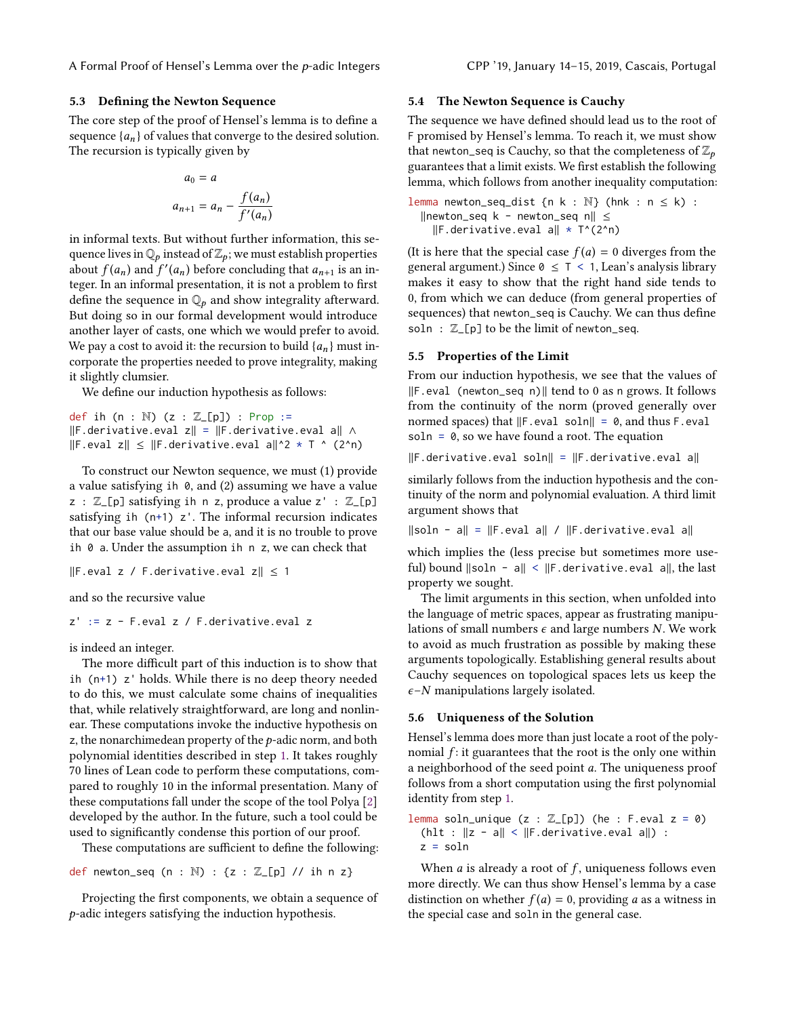#### 5.3 Defining the Newton Sequence

The core step of the proof of Hensel's lemma is to define a sequence  $\{a_n\}$  of values that converge to the desired solution. The recursion is typically given by

$$
a_0 = a
$$
  

$$
a_{n+1} = a_n - \frac{f(a_n)}{f'(a_n)}
$$

in informal texts. But without further information, this sequence lives in  $\mathbb{Q}_p$  instead of  $\mathbb{Z}_p$ ; we must establish properties about  $f(a_n)$  and  $f'(a_n)$  before concluding that  $a_{n+1}$  is an in-<br>teger In an informal presentation it is not a problem to first teger. In an informal presentation, it is not a problem to first define the sequence in  $\mathbb{Q}_p$  and show integrality afterward. But doing so in our formal development would introduce another layer of casts, one which we would prefer to avoid. We pay a cost to avoid it: the recursion to build  $\{a_n\}$  must incorporate the properties needed to prove integrality, making it slightly clumsier.

We define our induction hypothesis as follows:

def ih (n :  $\mathbb{N}$ ) (z :  $\mathbb{Z}[p]$ ) : Prop := ∥F.derivative.eval z∥ = ∥F.derivative.eval a∥ ∧ ∥F.eval z∥ ≤ ∥F.derivative.eval a∥^2 \* T ^ (2^n)

To construct our Newton sequence, we must (1) provide a value satisfying ih 0, and (2) assuming we have a value  $z : \mathbb{Z}$  [p] satisfying ih n z, produce a value  $z' : \mathbb{Z}$  [p] satisfying ih  $(n+1)$  z'. The informal recursion indicates that our base value should be a, and it is no trouble to prove ih 0 a. Under the assumption ih n z, we can check that

∥F.eval z / F.derivative.eval z∥ ≤ 1

and so the recursive value

z' := z - F.eval z / F.derivative.eval z

is indeed an integer.

The more difficult part of this induction is to show that ih (n+1) z' holds. While there is no deep theory needed to do this, we must calculate some chains of inequalities that, while relatively straightforward, are long and nonlinear. These computations invoke the inductive hypothesis on z, the nonarchimedean property of the  $p$ -adic norm, and both polynomial identities described in step [1.](#page-7-1) It takes roughly 70 lines of Lean code to perform these computations, compared to roughly 10 in the informal presentation. Many of these computations fall under the scope of the tool Polya [\[2\]](#page-10-29) developed by the author. In the future, such a tool could be used to significantly condense this portion of our proof.

These computations are sufficient to define the following:

def newton\_seq  $(n : \mathbb{N}) : \{z : \mathbb{Z}[\text{p}] \text{ // } \text{ih} \text{ n } z\}$ 

Projecting the first components, we obtain a sequence of p-adic integers satisfying the induction hypothesis.

#### 5.4 The Newton Sequence is Cauchy

The sequence we have defined should lead us to the root of F promised by Hensel's lemma. To reach it, we must show that newton\_seq is Cauchy, so that the completeness of  $\mathbb{Z}_p$ guarantees that a limit exists. We first establish the following lemma, which follows from another inequality computation:

lemma newton\_seq\_dist  ${n k : \mathbb{N}}$  (hnk :  $n \le k$ ) : ∥newton\_seq k - newton\_seq n∥ ≤ ∥F.derivative.eval a∥ \* T^(2^n)

(It is here that the special case  $f(a) = 0$  diverges from the general argument.) Since  $0 \leq T \leq 1$ , Lean's analysis library makes it easy to show that the right hand side tends to 0, from which we can deduce (from general properties of sequences) that newton\_seq is Cauchy. We can thus define soln :  $\mathbb{Z}[\mathsf{p}]$  to be the limit of newton\_seq.

#### 5.5 Properties of the Limit

From our induction hypothesis, we see that the values of ∥F.eval (newton\_seq n)∥ tend to 0 as n grows. It follows from the continuity of the norm (proved generally over normed spaces) that ∥F.eval soln∥ = 0, and thus F.eval soln =  $\theta$ , so we have found a root. The equation

∥F.derivative.eval soln∥ = ∥F.derivative.eval a∥

similarly follows from the induction hypothesis and the continuity of the norm and polynomial evaluation. A third limit argument shows that

∥soln - a∥ = ∥F.eval a∥ / ∥F.derivative.eval a∥

which implies the (less precise but sometimes more useful) bound ∥soln - a∥ < ∥F.derivative.eval a∥, the last property we sought.

The limit arguments in this section, when unfolded into the language of metric spaces, appear as frustrating manipulations of small numbers  $\epsilon$  and large numbers N. We work to avoid as much frustration as possible by making these arguments topologically. Establishing general results about Cauchy sequences on topological spaces lets us keep the  $\epsilon$ –*N* manipulations largely isolated.

#### 5.6 Uniqueness of the Solution

Hensel's lemma does more than just locate a root of the polynomial  $f$ : it guarantees that the root is the only one within a neighborhood of the seed point a. The uniqueness proof follows from a short computation using the first polynomial identity from step [1.](#page-7-1)

lemma soln\_unique  $(z : \mathbb{Z}[p])$  (he : F.eval  $z = 0$ ) (hlt : ∥z - a∥ < ∥F.derivative.eval a∥) : z = soln

When  $a$  is already a root of  $f$ , uniqueness follows even more directly. We can thus show Hensel's lemma by a case distinction on whether  $f(a) = 0$ , providing a as a witness in the special case and soln in the general case.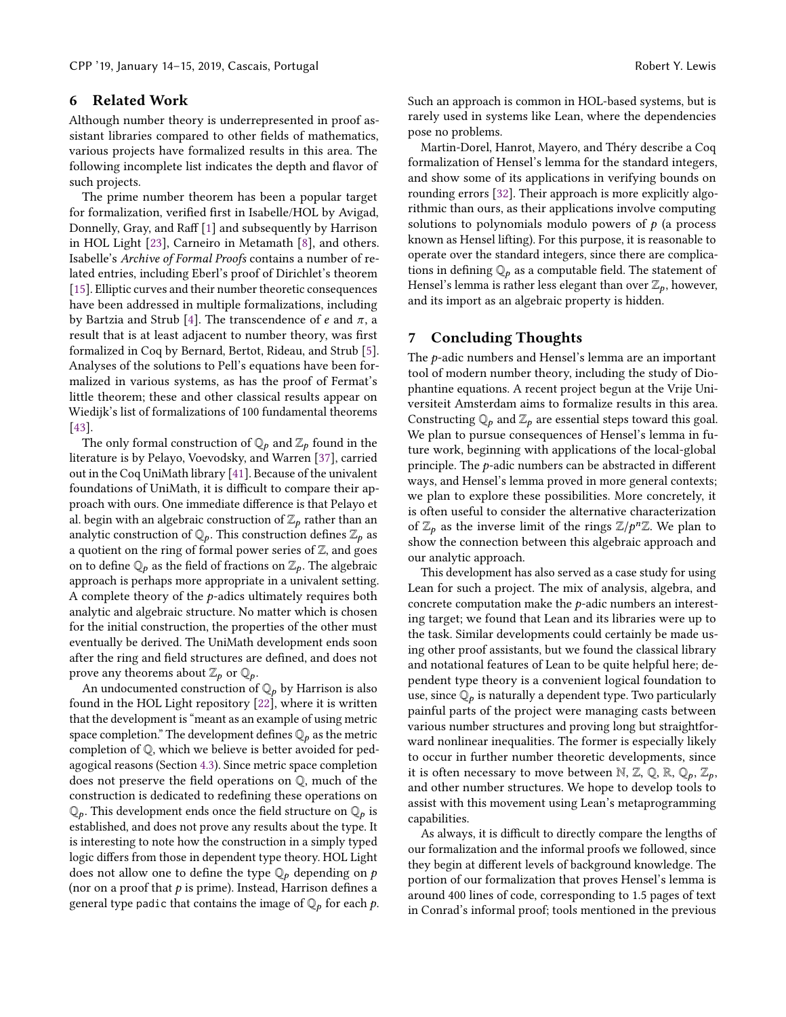## <span id="page-9-0"></span>6 Related Work

Although number theory is underrepresented in proof assistant libraries compared to other fields of mathematics, various projects have formalized results in this area. The following incomplete list indicates the depth and flavor of such projects.

The prime number theorem has been a popular target for formalization, verified first in Isabelle/HOL by Avigad, Donnelly, Gray, and Raff [\[1\]](#page-10-30) and subsequently by Harrison in HOL Light [\[23\]](#page-10-31), Carneiro in Metamath [\[8\]](#page-10-32), and others. Isabelle's Archive of Formal Proofs contains a number of related entries, including Eberl's proof of Dirichlet's theorem [\[15\]](#page-10-33). Elliptic curves and their number theoretic consequences have been addressed in multiple formalizations, including by Bartzia and Strub [\[4\]](#page-10-34). The transcendence of e and  $\pi$ , a result that is at least adjacent to number theory, was first formalized in Coq by Bernard, Bertot, Rideau, and Strub [\[5\]](#page-10-35). Analyses of the solutions to Pell's equations have been formalized in various systems, as has the proof of Fermat's little theorem; these and other classical results appear on Wiedijk's list of formalizations of 100 fundamental theorems [\[43\]](#page-11-5).

The only formal construction of  $\mathbb{Q}_p$  and  $\mathbb{Z}_p$  found in the literature is by Pelayo, Voevodsky, and Warren [\[37\]](#page-11-6), carried out in the Coq UniMath library [\[41\]](#page-11-7). Because of the univalent foundations of UniMath, it is difficult to compare their approach with ours. One immediate difference is that Pelayo et al. begin with an algebraic construction of  $\mathbb{Z}_p$  rather than an analytic construction of  $\mathbb{Q}_p$ . This construction defines  $\mathbb{Z}_p$  as a quotient on the ring of formal power series of  $\mathbb Z$ , and goes on to define  $\mathbb{Q}_p$  as the field of fractions on  $\mathbb{Z}_p$ . The algebraic approach is perhaps more appropriate in a univalent setting. A complete theory of the  $p$ -adics ultimately requires both analytic and algebraic structure. No matter which is chosen for the initial construction, the properties of the other must eventually be derived. The UniMath development ends soon after the ring and field structures are defined, and does not prove any theorems about  $\mathbb{Z}_p$  or  $\mathbb{Q}_p$ .

An undocumented construction of  $\mathbb{Q}_p$  by Harrison is also found in the HOL Light repository [\[22\]](#page-10-1), where it is written that the development is "meant as an example of using metric space completion." The development defines  $\mathbb{Q}_p$  as the metric completion of Q, which we believe is better avoided for pedagogical reasons (Section [4.3\)](#page-4-4). Since metric space completion does not preserve the field operations on Q, much of the construction is dedicated to redefining these operations on  $\mathbb{Q}_p$ . This development ends once the field structure on  $\mathbb{Q}_p$  is established, and does not prove any results about the type. It is interesting to note how the construction in a simply typed logic differs from those in dependent type theory. HOL Light does not allow one to define the type  $\mathbb{Q}_p$  depending on p (nor on a proof that  $p$  is prime). Instead, Harrison defines a general type padic that contains the image of  $\mathbb{Q}_p$  for each p. Such an approach is common in HOL-based systems, but is rarely used in systems like Lean, where the dependencies pose no problems.

Martin-Dorel, Hanrot, Mayero, and Théry describe a Coq formalization of Hensel's lemma for the standard integers, and show some of its applications in verifying bounds on rounding errors [\[32\]](#page-10-26). Their approach is more explicitly algorithmic than ours, as their applications involve computing solutions to polynomials modulo powers of  $p$  (a process known as Hensel lifting). For this purpose, it is reasonable to operate over the standard integers, since there are complications in defining  $\mathbb{Q}_p$  as a computable field. The statement of Hensel's lemma is rather less elegant than over  $\mathbb{Z}_p$ , however, and its import as an algebraic property is hidden.

## <span id="page-9-1"></span>7 Concluding Thoughts

The  $p$ -adic numbers and Hensel's lemma are an important tool of modern number theory, including the study of Diophantine equations. A recent project begun at the Vrije Universiteit Amsterdam aims to formalize results in this area. Constructing  $\mathbb{Q}_p$  and  $\mathbb{Z}_p$  are essential steps toward this goal. We plan to pursue consequences of Hensel's lemma in future work, beginning with applications of the local-global principle. The p-adic numbers can be abstracted in different ways, and Hensel's lemma proved in more general contexts; we plan to explore these possibilities. More concretely, it is often useful to consider the alternative characterization of  $\mathbb{Z}_p$  as the inverse limit of the rings  $\mathbb{Z}/p^n\mathbb{Z}$ . We plan to show the connection between this algebraic approach and show the connection between this algebraic approach and our analytic approach.

This development has also served as a case study for using Lean for such a project. The mix of analysis, algebra, and concrete computation make the p-adic numbers an interesting target; we found that Lean and its libraries were up to the task. Similar developments could certainly be made using other proof assistants, but we found the classical library and notational features of Lean to be quite helpful here; dependent type theory is a convenient logical foundation to use, since  $\mathbb{Q}_p$  is naturally a dependent type. Two particularly painful parts of the project were managing casts between various number structures and proving long but straightforward nonlinear inequalities. The former is especially likely to occur in further number theoretic developments, since it is often necessary to move between N, Z, Q, R,  $\mathbb{Q}_p$ ,  $\mathbb{Z}_p$ , and other number structures. We hope to develop tools to assist with this movement using Lean's metaprogramming capabilities.

As always, it is difficult to directly compare the lengths of our formalization and the informal proofs we followed, since they begin at different levels of background knowledge. The portion of our formalization that proves Hensel's lemma is around 400 lines of code, corresponding to 1.5 pages of text in Conrad's informal proof; tools mentioned in the previous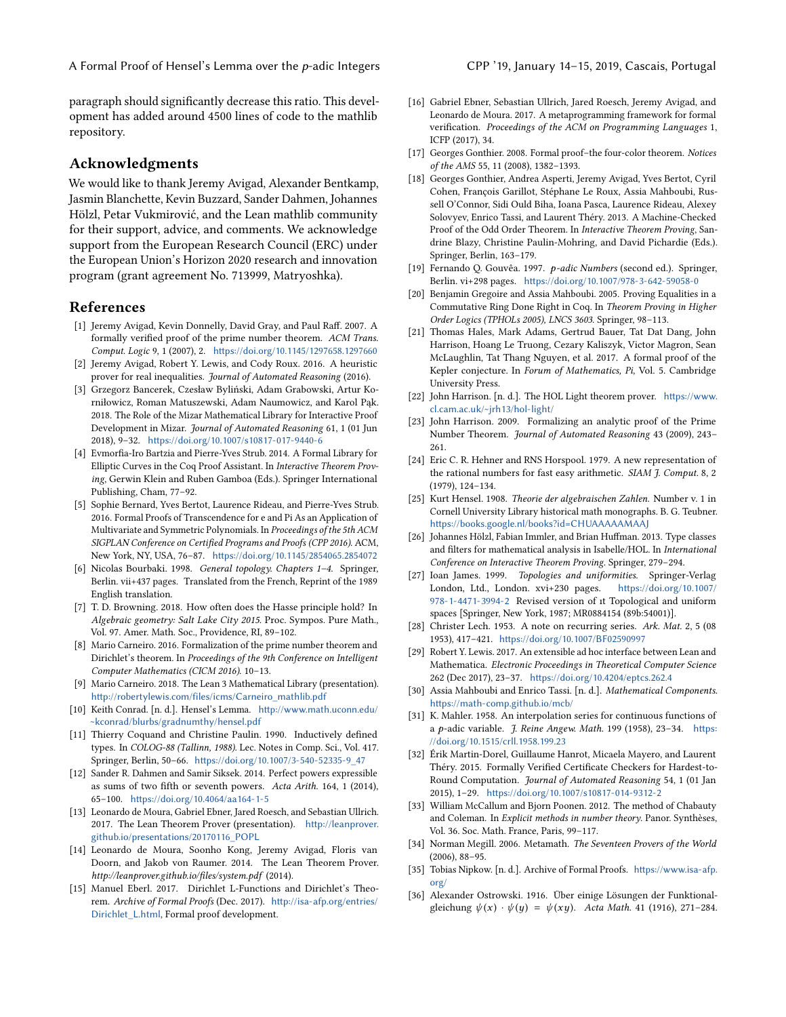paragraph should significantly decrease this ratio. This development has added around 4500 lines of code to the mathlib repository.

#### Acknowledgments

We would like to thank Jeremy Avigad, Alexander Bentkamp, Jasmin Blanchette, Kevin Buzzard, Sander Dahmen, Johannes Hölzl, Petar Vukmirović, and the Lean mathlib community for their support, advice, and comments. We acknowledge support from the European Research Council (ERC) under the European Union's Horizon 2020 research and innovation program (grant agreement No. 713999, Matryoshka).

#### References

- <span id="page-10-30"></span>[1] Jeremy Avigad, Kevin Donnelly, David Gray, and Paul Raff. 2007. A formally verified proof of the prime number theorem. ACM Trans. Comput. Logic 9, 1 (2007), 2. <https://doi.org/10.1145/1297658.1297660>
- <span id="page-10-29"></span>[2] Jeremy Avigad, Robert Y. Lewis, and Cody Roux. 2016. A heuristic prover for real inequalities. Journal of Automated Reasoning (2016).
- <span id="page-10-0"></span>[3] Grzegorz Bancerek, Czesław Byliński, Adam Grabowski, Artur Korniłowicz, Roman Matuszewski, Adam Naumowicz, and Karol Pąk. 2018. The Role of the Mizar Mathematical Library for Interactive Proof Development in Mizar. Journal of Automated Reasoning 61, 1 (01 Jun 2018), 9–32. <https://doi.org/10.1007/s10817-017-9440-6>
- <span id="page-10-34"></span>[4] Evmorfia-Iro Bartzia and Pierre-Yves Strub. 2014. A Formal Library for Elliptic Curves in the Coq Proof Assistant. In Interactive Theorem Proving, Gerwin Klein and Ruben Gamboa (Eds.). Springer International Publishing, Cham, 77–92.
- <span id="page-10-35"></span>[5] Sophie Bernard, Yves Bertot, Laurence Rideau, and Pierre-Yves Strub. 2016. Formal Proofs of Transcendence for e and Pi As an Application of Multivariate and Symmetric Polynomials. In Proceedings of the 5th ACM SIGPLAN Conference on Certified Programs and Proofs (CPP 2016). ACM, New York, NY, USA, 76–87. <https://doi.org/10.1145/2854065.2854072>
- <span id="page-10-21"></span>[6] Nicolas Bourbaki. 1998. General topology. Chapters 1–4. Springer, Berlin. vii+437 pages. Translated from the French, Reprint of the 1989 English translation.
- <span id="page-10-16"></span>[7] T. D. Browning. 2018. How often does the Hasse principle hold? In Algebraic geometry: Salt Lake City 2015. Proc. Sympos. Pure Math., Vol. 97. Amer. Math. Soc., Providence, RI, 89–102.
- <span id="page-10-32"></span>[8] Mario Carneiro. 2016. Formalization of the prime number theorem and Dirichlet's theorem. In Proceedings of the 9th Conference on Intelligent Computer Mathematics (CICM 2016). 10–13.
- <span id="page-10-20"></span>[9] Mario Carneiro. 2018. The Lean 3 Mathematical Library (presentation). [http://robertylewis.com/files/icms/Carneiro\\_mathlib.pdf](http://robertylewis.com/files/icms/Carneiro_mathlib.pdf)
- <span id="page-10-27"></span>[10] Keith Conrad. [n. d.]. Hensel's Lemma. [http://www.math.uconn.edu/](http://www.math.uconn.edu/~kconrad/blurbs/gradnumthy/hensel.pdf) [~kconrad/blurbs/gradnumthy/hensel.pdf](http://www.math.uconn.edu/~kconrad/blurbs/gradnumthy/hensel.pdf)
- <span id="page-10-18"></span>[11] Thierry Coquand and Christine Paulin. 1990. Inductively defined types. In COLOG-88 (Tallinn, 1988). Lec. Notes in Comp. Sci., Vol. 417. Springer, Berlin, 50–66. [https://doi.org/10.1007/3-540-52335-9\\_47](https://doi.org/10.1007/3-540-52335-9_47)
- <span id="page-10-13"></span>[12] Sander R. Dahmen and Samir Siksek. 2014. Perfect powers expressible as sums of two fifth or seventh powers. Acta Arith. 164, 1 (2014), 65–100. <https://doi.org/10.4064/aa164-1-5>
- <span id="page-10-19"></span>[13] Leonardo de Moura, Gabriel Ebner, Jared Roesch, and Sebastian Ullrich. 2017. The Lean Theorem Prover (presentation). [http://leanprover.](http://leanprover.github.io/presentations/20170116_POPL) [github.io/presentations/20170116\\_POPL](http://leanprover.github.io/presentations/20170116_POPL)
- <span id="page-10-17"></span>[14] Leonardo de Moura, Soonho Kong, Jeremy Avigad, Floris van Doorn, and Jakob von Raumer. 2014. The Lean Theorem Prover. http://leanprover.github.io/files/system.pdf (2014).
- <span id="page-10-33"></span>[15] Manuel Eberl. 2017. Dirichlet L-Functions and Dirichlet's Theorem. Archive of Formal Proofs (Dec. 2017). [http://isa-afp.org/entries/](http://isa-afp.org/entries/Dirichlet_L.html) [Dirichlet\\_L.html](http://isa-afp.org/entries/Dirichlet_L.html), Formal proof development.
- <span id="page-10-23"></span>[16] Gabriel Ebner, Sebastian Ullrich, Jared Roesch, Jeremy Avigad, and Leonardo de Moura. 2017. A metaprogramming framework for formal verification. Proceedings of the ACM on Programming Languages 1, ICFP (2017), 34.
- <span id="page-10-5"></span>[17] Georges Gonthier. 2008. Formal proof-the four-color theorem. Notices of the AMS 55, 11 (2008), 1382–1393.
- <span id="page-10-6"></span>[18] Georges Gonthier, Andrea Asperti, Jeremy Avigad, Yves Bertot, Cyril Cohen, François Garillot, Stéphane Le Roux, Assia Mahboubi, Russell O'Connor, Sidi Ould Biha, Ioana Pasca, Laurence Rideau, Alexey Solovyev, Enrico Tassi, and Laurent Théry. 2013. A Machine-Checked Proof of the Odd Order Theorem. In Interactive Theorem Proving, Sandrine Blazy, Christine Paulin-Mohring, and David Pichardie (Eds.). Springer, Berlin, 163–179.
- <span id="page-10-14"></span>[19] Fernando Q. Gouvêa. 1997. p-adic Numbers (second ed.). Springer, Berlin. vi+298 pages. <https://doi.org/10.1007/978-3-642-59058-0>
- <span id="page-10-24"></span>[20] Benjamin Gregoire and Assia Mahboubi. 2005. Proving Equalities in a Commutative Ring Done Right in Coq. In Theorem Proving in Higher Order Logics (TPHOLs 2005), LNCS 3603. Springer, 98–113.
- <span id="page-10-7"></span>[21] Thomas Hales, Mark Adams, Gertrud Bauer, Tat Dat Dang, John Harrison, Hoang Le Truong, Cezary Kaliszyk, Victor Magron, Sean McLaughlin, Tat Thang Nguyen, et al. 2017. A formal proof of the Kepler conjecture. In Forum of Mathematics, Pi, Vol. 5. Cambridge University Press.
- <span id="page-10-1"></span>[22] John Harrison. [n. d.]. The HOL Light theorem prover. [https://www.](https://www.cl.cam.ac.uk/~jrh13/hol-light/) [cl.cam.ac.uk/~jrh13/hol-light/](https://www.cl.cam.ac.uk/~jrh13/hol-light/)
- <span id="page-10-31"></span>[23] John Harrison. 2009. Formalizing an analytic proof of the Prime Number Theorem. Journal of Automated Reasoning 43 (2009), 243– 261.
- <span id="page-10-11"></span>[24] Eric C. R. Hehner and RNS Horspool. 1979. A new representation of the rational numbers for fast easy arithmetic. SIAM J. Comput. 8, 2 (1979), 124–134.
- <span id="page-10-15"></span>[25] Kurt Hensel. 1908. Theorie der algebraischen Zahlen. Number v. 1 in Cornell University Library historical math monographs. B. G. Teubner. <https://books.google.nl/books?id=CHUAAAAAMAAJ>
- <span id="page-10-22"></span>[26] Johannes Hölzl, Fabian Immler, and Brian Huffman. 2013. Type classes and filters for mathematical analysis in Isabelle/HOL. In International Conference on Interactive Theorem Proving. Springer, 279–294.
- <span id="page-10-25"></span>[27] Ioan James. 1999. Topologies and uniformities. Springer-Verlag London, Ltd., London. xvi+230 pages. [https://doi.org/10.1007/](https://doi.org/10.1007/978-1-4471-3994-2) [978-1-4471-3994-2](https://doi.org/10.1007/978-1-4471-3994-2) Revised version of ıt Topological and uniform spaces [Springer, New York, 1987; MR0884154 (89b:54001)].
- <span id="page-10-10"></span>[28] Christer Lech. 1953. A note on recurring series. Ark. Mat. 2, 5 (08 1953), 417–421. <https://doi.org/10.1007/BF02590997>
- <span id="page-10-28"></span>[29] Robert Y. Lewis. 2017. An extensible ad hoc interface between Lean and Mathematica. Electronic Proceedings in Theoretical Computer Science 262 (Dec 2017), 23–37. <https://doi.org/10.4204/eptcs.262.4>
- <span id="page-10-2"></span>[30] Assia Mahboubi and Enrico Tassi. [n. d.]. Mathematical Components. <https://math-comp.github.io/mcb/>
- <span id="page-10-9"></span>[31] K. Mahler. 1958. An interpolation series for continuous functions of <sup>a</sup> p-adic variable. J. Reine Angew. Math. 199 (1958), 23–34. [https:](https://doi.org/10.1515/crll.1958.199.23) [//doi.org/10.1515/crll.1958.199.23](https://doi.org/10.1515/crll.1958.199.23)
- <span id="page-10-26"></span>[32] Érik Martin-Dorel, Guillaume Hanrot, Micaela Mayero, and Laurent Théry. 2015. Formally Verified Certificate Checkers for Hardest-to-Round Computation. Journal of Automated Reasoning 54, 1 (01 Jan 2015), 1–29. <https://doi.org/10.1007/s10817-014-9312-2>
- <span id="page-10-12"></span>[33] William McCallum and Bjorn Poonen. 2012. The method of Chabauty and Coleman. In Explicit methods in number theory. Panor. Synthèses, Vol. 36. Soc. Math. France, Paris, 99–117.
- <span id="page-10-3"></span>[34] Norman Megill. 2006. Metamath. The Seventeen Provers of the World (2006), 88–95.
- <span id="page-10-4"></span>[35] Tobias Nipkow. [n. d.]. Archive of Formal Proofs. [https://www.isa-afp.](https://www.isa-afp.org/) [org/](https://www.isa-afp.org/)
- <span id="page-10-8"></span>[36] Alexander Ostrowski. 1916. Über einige Lösungen der Funktionalgleichung  $\psi(x) \cdot \psi(y) = \psi(xy)$ . Acta Math. 41 (1916), 271-284.